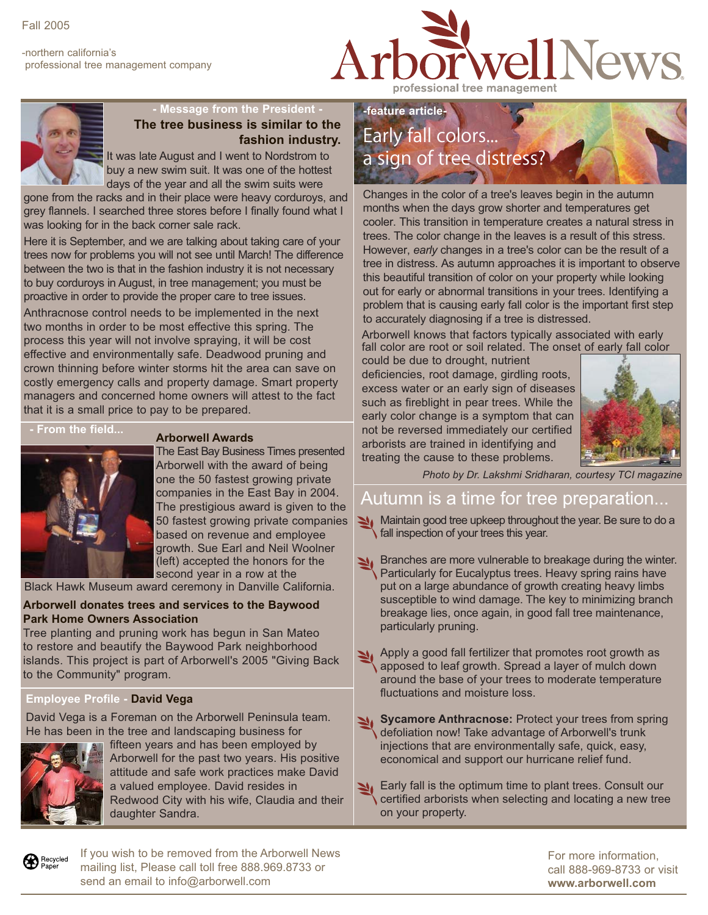-northern california's professional tree management company





## **- Message from the President -**

**The tree business is similar to the fashion industry.**

It was late August and I went to Nordstrom to buy a new swim suit. It was one of the hottest days of the year and all the swim suits were

gone from the racks and in their place were heavy corduroys, and grey flannels. I searched three stores before I finally found what I was looking for in the back corner sale rack.

Here it is September, and we are talking about taking care of your trees now for problems you will not see until March! The difference between the two is that in the fashion industry it is not necessary to buy corduroys in August, in tree management; you must be proactive in order to provide the proper care to tree issues.

Anthracnose control needs to be implemented in the next two months in order to be most effective this spring. The process this year will not involve spraying, it will be cost effective and environmentally safe. Deadwood pruning and crown thinning before winter storms hit the area can save on costly emergency calls and property damage. Smart property managers and concerned home owners will attest to the fact that it is a small price to pay to be prepared.

**- From the field...**

### **Arborwell Awards**

The East Bay Business Times presented Arborwell with the award of being one the 50 fastest growing private companies in the East Bay in 2004. The prestigious award is given to the 50 fastest growing private companies based on revenue and employee growth. Sue Earl and Neil Woolner (left) accepted the honors for the second year in a row at the

Black Hawk Museum award ceremony in Danville California.

#### **Arborwell donates trees and services to the Baywood Park Home Owners Association**

Tree planting and pruning work has begun in San Mateo to restore and beautify the Baywood Park neighborhood islands. This project is part of Arborwell's 2005 "Giving Back to the Community" program.

### **Employee Profile - David Vega**

David Vega is a Foreman on the Arborwell Peninsula team. He has been in the tree and landscaping business for



fifteen years and has been employed by Arborwell for the past two years. His positive attitude and safe work practices make David a valued employee. David resides in Redwood City with his wife, Claudia and their daughter Sandra.

# **-feature article-**Early fall colors... a sign of tree distress?

Changes in the color of a tree's leaves begin in the autumn months when the days grow shorter and temperatures get cooler. This transition in temperature creates a natural stress in trees. The color change in the leaves is a result of this stress. However, *early* changes in a tree's color can be the result of a tree in distress. As autumn approaches it is important to observe this beautiful transition of color on your property while looking out for early or abnormal transitions in your trees. Identifying a problem that is causing early fall color is the important first step to accurately diagnosing if a tree is distressed.

Arborwell knows that factors typically associated with early fall color are root or soil related. The onset of early fall color

could be due to drought, nutrient deficiencies, root damage, girdling roots, excess water or an early sign of diseases such as fireblight in pear trees. While the early color change is a symptom that can not be reversed immediately our certified arborists are trained in identifying and treating the cause to these problems.



*Photo by Dr. Lakshmi Sridharan, courtesy TCI magazine*

## Autumn is a time for tree preparation...

Maintain good tree upkeep throughout the year. Be sure to do a fall inspection of your trees this year.

- Branches are more vulnerable to breakage during the winter. Particularly for Eucalyptus trees. Heavy spring rains have put on a large abundance of growth creating heavy limbs susceptible to wind damage. The key to minimizing branch breakage lies, once again, in good fall tree maintenance, particularly pruning.
- Apply a good fall fertilizer that promotes root growth as apposed to leaf growth. Spread a layer of mulch down around the base of your trees to moderate temperature fluctuations and moisture loss.
- **Sycamore Anthracnose: Protect your trees from spring** defoliation now! Take advantage of Arborwell's trunk injections that are environmentally safe, quick, easy, economical and support our hurricane relief fund.
- Early fall is the optimum time to plant trees. Consult our certified arborists when selecting and locating a new tree on your property.

Recycled<br>Paper

If you wish to be removed from the Arborwell News mailing list, Please call toll free 888.969.8733 or send an email to info@arborwell.com

For more information, call 888-969-8733 or visit **www.arborwell.com**